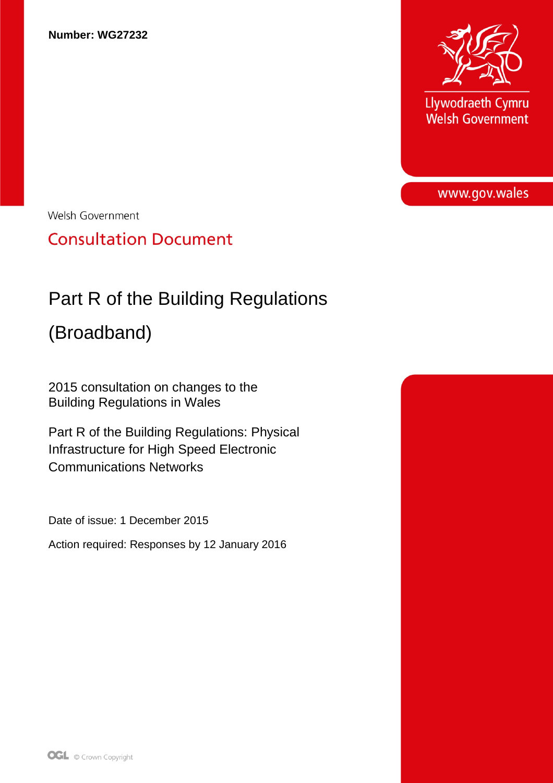

Llywodraeth Cymru **Welsh Government** 

www.gov.wales

Welsh Government

**Consultation Document** 

# Part R of the Building Regulations

(Broadband)

2015 consultation on changes to the Building Regulations in Wales

Part R of the Building Regulations: Physical Infrastructure for High Speed Electronic Communications Networks

Date of issue: 1 December 2015

Action required: Responses by 12 January 2016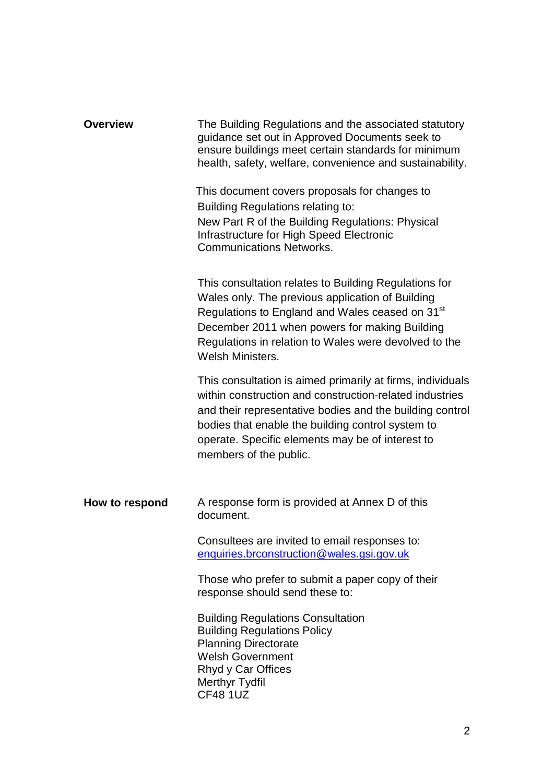| <b>Overview</b> | The Building Regulations and the associated statutory<br>guidance set out in Approved Documents seek to<br>ensure buildings meet certain standards for minimum<br>health, safety, welfare, convenience and sustainability.                                                                                           |  |  |  |  |
|-----------------|----------------------------------------------------------------------------------------------------------------------------------------------------------------------------------------------------------------------------------------------------------------------------------------------------------------------|--|--|--|--|
|                 | This document covers proposals for changes to<br><b>Building Regulations relating to:</b><br>New Part R of the Building Regulations: Physical<br>Infrastructure for High Speed Electronic<br><b>Communications Networks.</b>                                                                                         |  |  |  |  |
|                 | This consultation relates to Building Regulations for<br>Wales only. The previous application of Building<br>Regulations to England and Wales ceased on 31 <sup>st</sup><br>December 2011 when powers for making Building<br>Regulations in relation to Wales were devolved to the<br>Welsh Ministers.               |  |  |  |  |
|                 | This consultation is aimed primarily at firms, individuals<br>within construction and construction-related industries<br>and their representative bodies and the building control<br>bodies that enable the building control system to<br>operate. Specific elements may be of interest to<br>members of the public. |  |  |  |  |
| How to respond  | A response form is provided at Annex D of this<br>document.                                                                                                                                                                                                                                                          |  |  |  |  |
|                 | Consultees are invited to email responses to:<br>enquiries.brconstruction@wales.gsi.gov.uk                                                                                                                                                                                                                           |  |  |  |  |
|                 | Those who prefer to submit a paper copy of their<br>response should send these to:                                                                                                                                                                                                                                   |  |  |  |  |
|                 | <b>Building Regulations Consultation</b><br><b>Building Regulations Policy</b><br><b>Planning Directorate</b><br><b>Welsh Government</b><br>Rhyd y Car Offices<br><b>Merthyr Tydfil</b><br><b>CF48 1UZ</b>                                                                                                           |  |  |  |  |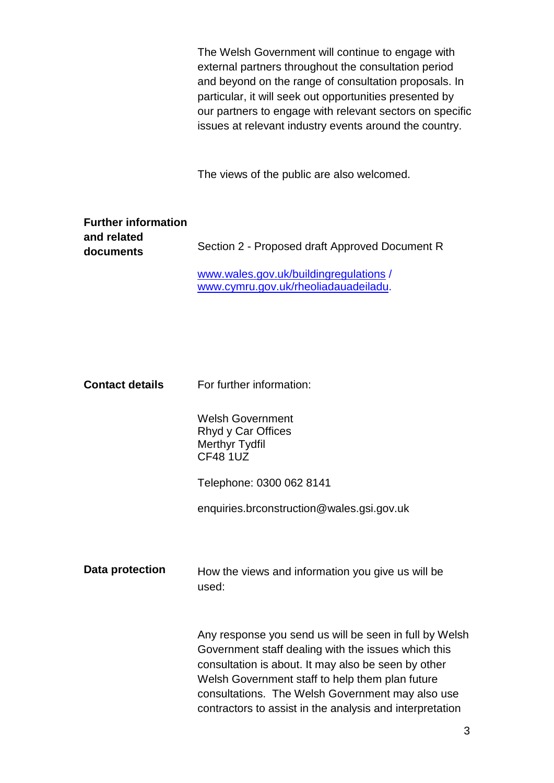|                                                        | The Welsh Government will continue to engage with<br>external partners throughout the consultation period<br>and beyond on the range of consultation proposals. In<br>particular, it will seek out opportunities presented by<br>our partners to engage with relevant sectors on specific<br>issues at relevant industry events around the country. |
|--------------------------------------------------------|-----------------------------------------------------------------------------------------------------------------------------------------------------------------------------------------------------------------------------------------------------------------------------------------------------------------------------------------------------|
|                                                        | The views of the public are also welcomed.                                                                                                                                                                                                                                                                                                          |
| <b>Further information</b><br>and related<br>documents | Section 2 - Proposed draft Approved Document R<br>www.wales.gov.uk/buildingregulations/<br>www.cymru.gov.uk/rheoliadauadeiladu.                                                                                                                                                                                                                     |
| <b>Contact details</b>                                 | For further information:                                                                                                                                                                                                                                                                                                                            |
|                                                        | <b>Welsh Government</b><br>Rhyd y Car Offices<br><b>Merthyr Tydfil</b><br>CF48 1UZ                                                                                                                                                                                                                                                                  |
|                                                        | Telephone: 0300 062 8141<br>enquiries.brconstruction@wales.gsi.gov.uk                                                                                                                                                                                                                                                                               |
| Data protection                                        | How the views and information you give us will be<br>used:                                                                                                                                                                                                                                                                                          |
|                                                        | Any response you send us will be seen in full by Welsh<br>Government staff dealing with the issues which this<br>consultation is about. It may also be seen by other<br>Welsh Government staff to help them plan future<br>consultations. The Welsh Government may also use<br>contractors to assist in the analysis and interpretation             |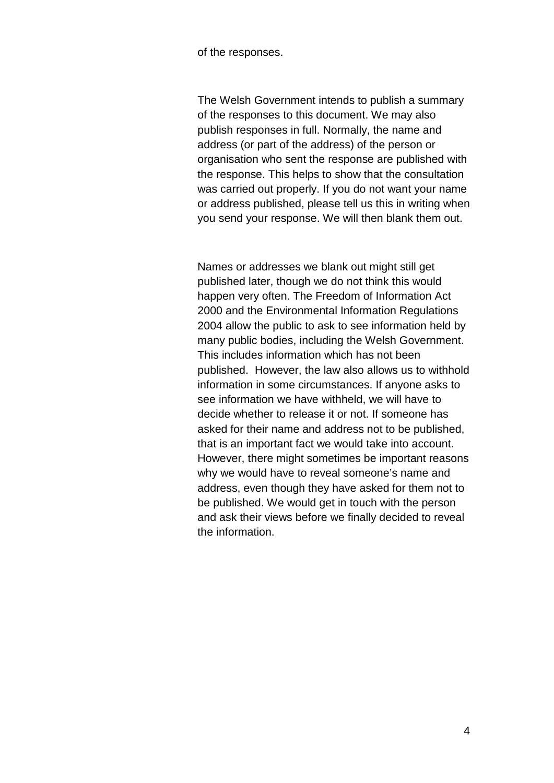of the responses.

The Welsh Government intends to publish a summary of the responses to this document. We may also publish responses in full. Normally, the name and address (or part of the address) of the person or organisation who sent the response are published with the response. This helps to show that the consultation was carried out properly. If you do not want your name or address published, please tell us this in writing when you send your response. We will then blank them out.

Names or addresses we blank out might still get published later, though we do not think this would happen very often. The Freedom of Information Act 2000 and the Environmental Information Regulations 2004 allow the public to ask to see information held by many public bodies, including the Welsh Government. This includes information which has not been published. However, the law also allows us to withhold information in some circumstances. If anyone asks to see information we have withheld, we will have to decide whether to release it or not. If someone has asked for their name and address not to be published, that is an important fact we would take into account. However, there might sometimes be important reasons why we would have to reveal someone's name and address, even though they have asked for them not to be published. We would get in touch with the person and ask their views before we finally decided to reveal the information.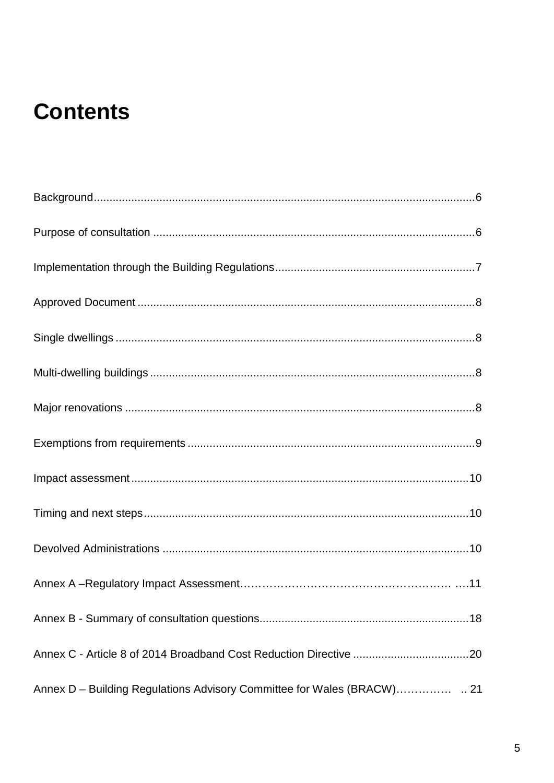# **Contents**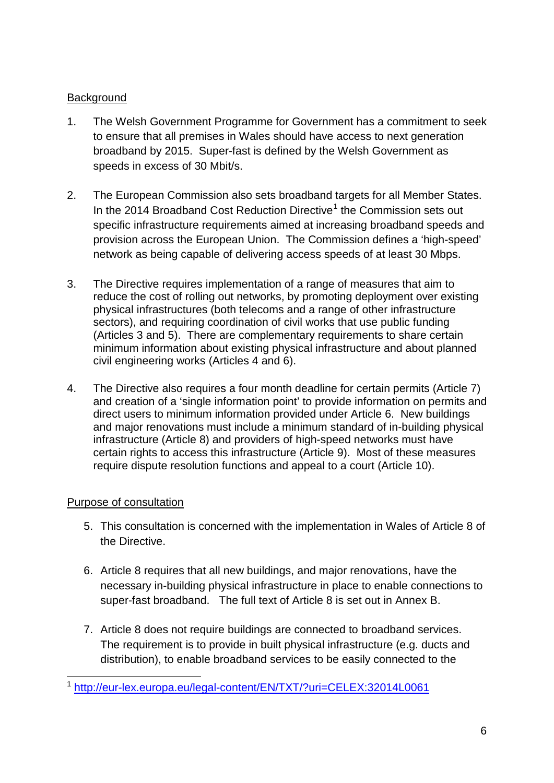## **Background**

- 1. The Welsh Government Programme for Government has a commitment to seek to ensure that all premises in Wales should have access to next generation broadband by 2015. Super-fast is defined by the Welsh Government as speeds in excess of 30 Mbit/s.
- 2. The European Commission also sets broadband targets for all Member States. In the 20[1](#page-5-0)4 Broadband Cost Reduction Directive<sup>1</sup> the Commission sets out specific infrastructure requirements aimed at increasing broadband speeds and provision across the European Union. The Commission defines a 'high-speed' network as being capable of delivering access speeds of at least 30 Mbps.
- 3. The Directive requires implementation of a range of measures that aim to reduce the cost of rolling out networks, by promoting deployment over existing physical infrastructures (both telecoms and a range of other infrastructure sectors), and requiring coordination of civil works that use public funding (Articles 3 and 5). There are complementary requirements to share certain minimum information about existing physical infrastructure and about planned civil engineering works (Articles 4 and 6).
- 4. The Directive also requires a four month deadline for certain permits (Article 7) and creation of a 'single information point' to provide information on permits and direct users to minimum information provided under Article 6. New buildings and major renovations must include a minimum standard of in-building physical infrastructure (Article 8) and providers of high-speed networks must have certain rights to access this infrastructure (Article 9). Most of these measures require dispute resolution functions and appeal to a court (Article 10).

#### Purpose of consultation

- 5. This consultation is concerned with the implementation in Wales of Article 8 of the Directive.
- 6. Article 8 requires that all new buildings, and major renovations, have the necessary in-building physical infrastructure in place to enable connections to super-fast broadband. The full text of Article 8 is set out in Annex B.
- 7. Article 8 does not require buildings are connected to broadband services. The requirement is to provide in built physical infrastructure (e.g. ducts and distribution), to enable broadband services to be easily connected to the

<span id="page-5-0"></span><sup>1</sup> <http://eur-lex.europa.eu/legal-content/EN/TXT/?uri=CELEX:32014L0061>  $\overline{a}$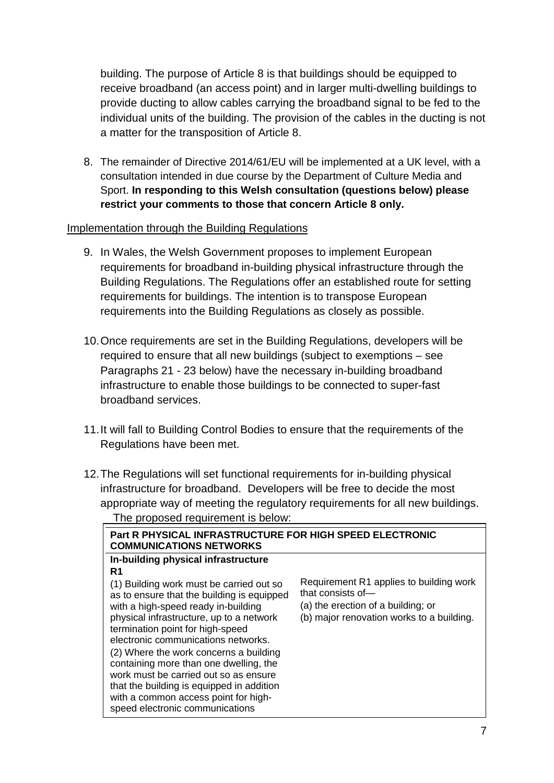building. The purpose of Article 8 is that buildings should be equipped to receive broadband (an access point) and in larger multi-dwelling buildings to provide ducting to allow cables carrying the broadband signal to be fed to the individual units of the building. The provision of the cables in the ducting is not a matter for the transposition of Article 8.

8. The remainder of Directive 2014/61/EU will be implemented at a UK level, with a consultation intended in due course by the Department of Culture Media and Sport. **In responding to this Welsh consultation (questions below) please restrict your comments to those that concern Article 8 only.** 

#### Implementation through the Building Regulations

- 9. In Wales, the Welsh Government proposes to implement European requirements for broadband in-building physical infrastructure through the Building Regulations. The Regulations offer an established route for setting requirements for buildings. The intention is to transpose European requirements into the Building Regulations as closely as possible.
- 10.Once requirements are set in the Building Regulations, developers will be required to ensure that all new buildings (subject to exemptions – see Paragraphs 21 - 23 below) have the necessary in-building broadband infrastructure to enable those buildings to be connected to super-fast broadband services.
- 11.It will fall to Building Control Bodies to ensure that the requirements of the Regulations have been met.
- 12.The Regulations will set functional requirements for in-building physical infrastructure for broadband. Developers will be free to decide the most appropriate way of meeting the regulatory requirements for all new buildings. The proposed requirement is below:

| Part R PHYSICAL INFRASTRUCTURE FOR HIGH SPEED ELECTRONIC<br><b>COMMUNICATIONS NETWORKS</b>                                                                                                                                                                                                                                                                                                                                                                                                                          |                                                                                                                                                 |
|---------------------------------------------------------------------------------------------------------------------------------------------------------------------------------------------------------------------------------------------------------------------------------------------------------------------------------------------------------------------------------------------------------------------------------------------------------------------------------------------------------------------|-------------------------------------------------------------------------------------------------------------------------------------------------|
| In-building physical infrastructure<br>R1<br>(1) Building work must be carried out so<br>as to ensure that the building is equipped<br>with a high-speed ready in-building<br>physical infrastructure, up to a network<br>termination point for high-speed<br>electronic communications networks.<br>(2) Where the work concerns a building<br>containing more than one dwelling, the<br>work must be carried out so as ensure<br>that the building is equipped in addition<br>with a common access point for high- | Requirement R1 applies to building work<br>that consists of-<br>(a) the erection of a building; or<br>(b) major renovation works to a building. |
| speed electronic communications                                                                                                                                                                                                                                                                                                                                                                                                                                                                                     |                                                                                                                                                 |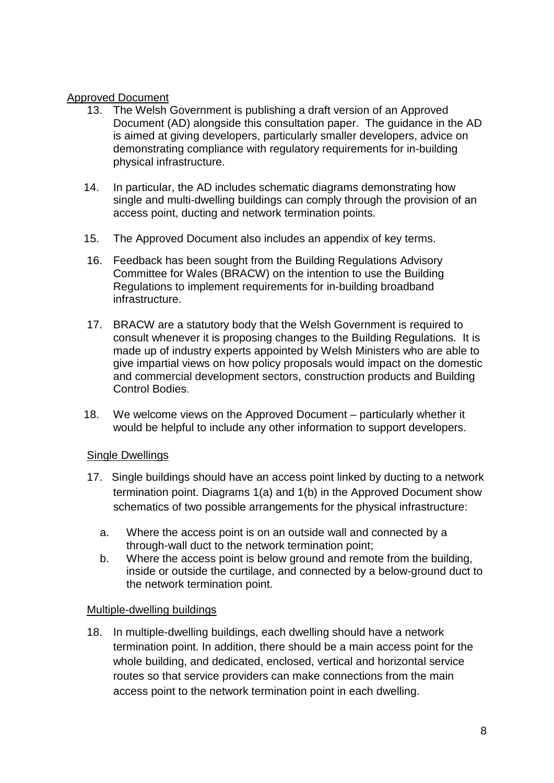#### Approved Document

- 13. The Welsh Government is publishing a draft version of an Approved Document (AD) alongside this consultation paper. The guidance in the AD is aimed at giving developers, particularly smaller developers, advice on demonstrating compliance with regulatory requirements for in-building physical infrastructure.
- 14. In particular, the AD includes schematic diagrams demonstrating how single and multi-dwelling buildings can comply through the provision of an access point, ducting and network termination points.
- 15. The Approved Document also includes an appendix of key terms.
- 16. Feedback has been sought from the Building Regulations Advisory Committee for Wales (BRACW) on the intention to use the Building Regulations to implement requirements for in-building broadband infrastructure.
- 17. BRACW are a statutory body that the Welsh Government is required to consult whenever it is proposing changes to the Building Regulations. It is made up of industry experts appointed by Welsh Ministers who are able to give impartial views on how policy proposals would impact on the domestic and commercial development sectors, construction products and Building Control Bodies.
- 18. We welcome views on the Approved Document particularly whether it would be helpful to include any other information to support developers.

# Single Dwellings

- 17. Single buildings should have an access point linked by ducting to a network termination point. Diagrams 1(a) and 1(b) in the Approved Document show schematics of two possible arrangements for the physical infrastructure:
	- a. Where the access point is on an outside wall and connected by a through-wall duct to the network termination point;
	- b. Where the access point is below ground and remote from the building, inside or outside the curtilage, and connected by a below-ground duct to the network termination point.

#### Multiple-dwelling buildings

18. In multiple-dwelling buildings, each dwelling should have a network termination point. In addition, there should be a main access point for the whole building, and dedicated, enclosed, vertical and horizontal service routes so that service providers can make connections from the main access point to the network termination point in each dwelling.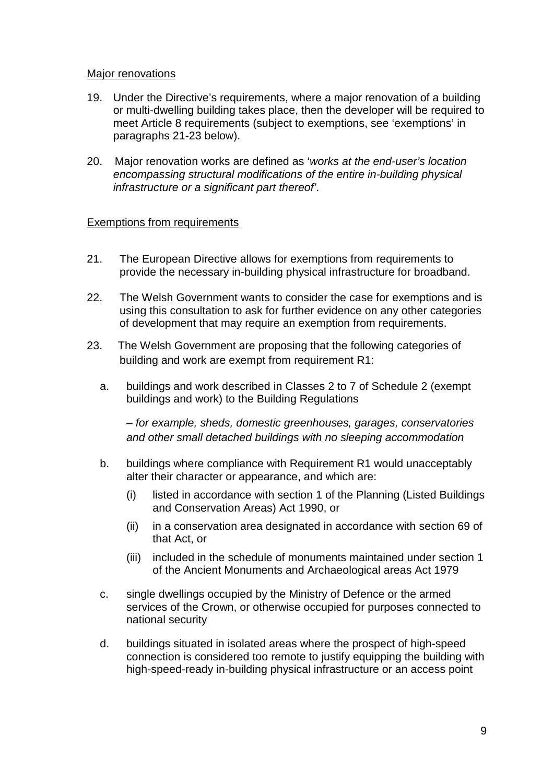#### Major renovations

- 19. Under the Directive's requirements, where a major renovation of a building or multi-dwelling building takes place, then the developer will be required to meet Article 8 requirements (subject to exemptions, see 'exemptions' in paragraphs 21-23 below).
- 20. Major renovation works are defined as '*works at the end-user's location encompassing structural modifications of the entire in-building physical infrastructure or a significant part thereof'*.

#### Exemptions from requirements

- 21. The European Directive allows for exemptions from requirements to provide the necessary in-building physical infrastructure for broadband.
- 22. The Welsh Government wants to consider the case for exemptions and is using this consultation to ask for further evidence on any other categories of development that may require an exemption from requirements.
- 23. The Welsh Government are proposing that the following categories of building and work are exempt from requirement R1:
	- a. buildings and work described in Classes 2 to 7 of Schedule 2 (exempt buildings and work) to the Building Regulations

*– for example, sheds, domestic greenhouses, garages, conservatories and other small detached buildings with no sleeping accommodation*

- b. buildings where compliance with Requirement R1 would unacceptably alter their character or appearance, and which are:
	- (i) listed in accordance with section 1 of the Planning (Listed Buildings and Conservation Areas) Act 1990, or
	- (ii) in a conservation area designated in accordance with section 69 of that Act, or
	- (iii) included in the schedule of monuments maintained under section 1 of the Ancient Monuments and Archaeological areas Act 1979
- c. single dwellings occupied by the Ministry of Defence or the armed services of the Crown, or otherwise occupied for purposes connected to national security
- d. buildings situated in isolated areas where the prospect of high-speed connection is considered too remote to justify equipping the building with high-speed-ready in-building physical infrastructure or an access point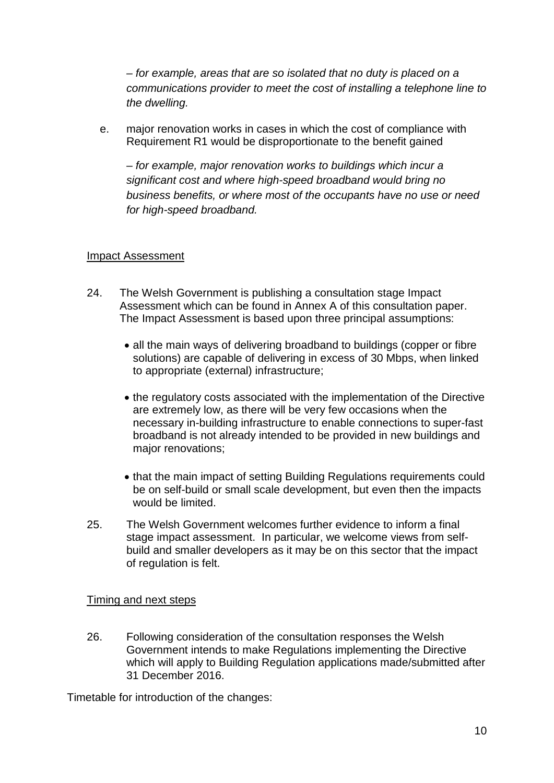*– for example, areas that are so isolated that no duty is placed on a communications provider to meet the cost of installing a telephone line to the dwelling.*

e. major renovation works in cases in which the cost of compliance with Requirement R1 would be disproportionate to the benefit gained

*– for example, major renovation works to buildings which incur a significant cost and where high-speed broadband would bring no business benefits, or where most of the occupants have no use or need for high-speed broadband.*

#### Impact Assessment

- 24. The Welsh Government is publishing a consultation stage Impact Assessment which can be found in Annex A of this consultation paper. The Impact Assessment is based upon three principal assumptions:
	- all the main ways of delivering broadband to buildings (copper or fibre solutions) are capable of delivering in excess of 30 Mbps, when linked to appropriate (external) infrastructure;
	- the regulatory costs associated with the implementation of the Directive are extremely low, as there will be very few occasions when the necessary in-building infrastructure to enable connections to super-fast broadband is not already intended to be provided in new buildings and major renovations;
	- that the main impact of setting Building Regulations requirements could be on self-build or small scale development, but even then the impacts would be limited.
- 25. The Welsh Government welcomes further evidence to inform a final stage impact assessment. In particular, we welcome views from selfbuild and smaller developers as it may be on this sector that the impact of regulation is felt.

#### Timing and next steps

26. Following consideration of the consultation responses the Welsh Government intends to make Regulations implementing the Directive which will apply to Building Regulation applications made/submitted after 31 December 2016.

Timetable for introduction of the changes: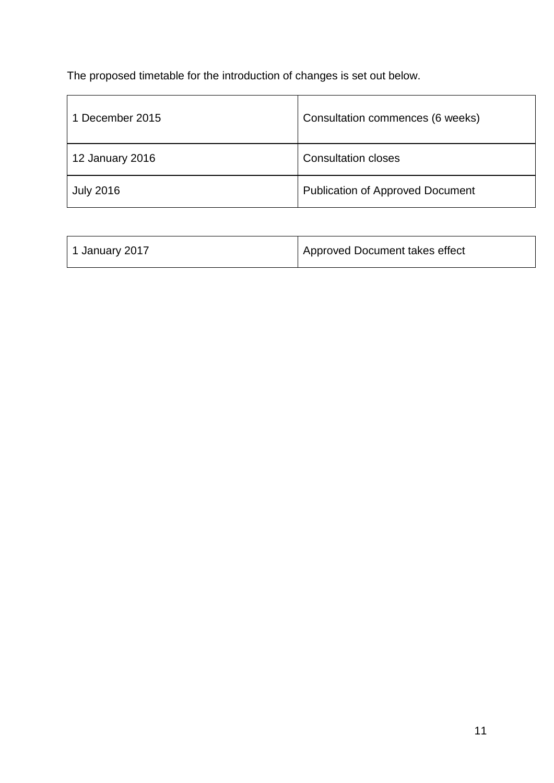The proposed timetable for the introduction of changes is set out below.

| 1 December 2015  | Consultation commences (6 weeks)        |
|------------------|-----------------------------------------|
| 12 January 2016  | <b>Consultation closes</b>              |
| <b>July 2016</b> | <b>Publication of Approved Document</b> |

| 1 January 2017 | Approved Document takes effect |
|----------------|--------------------------------|
|----------------|--------------------------------|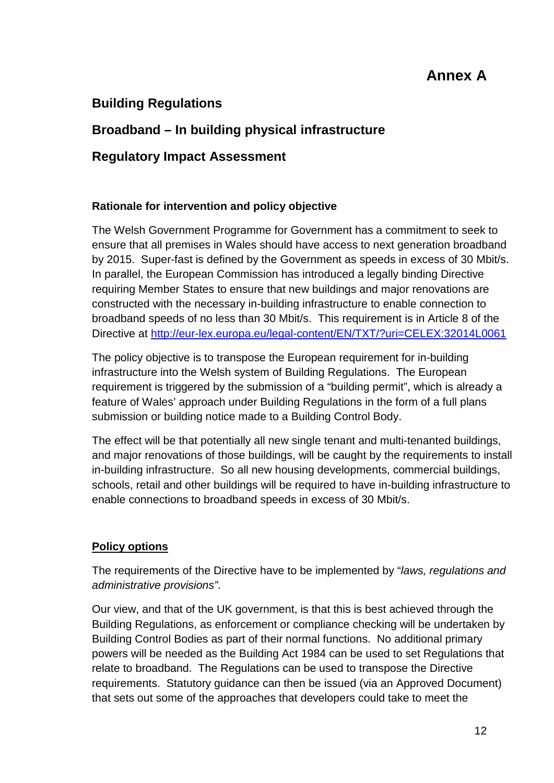# **Annex A**

# **Building Regulations**

# **Broadband – In building physical infrastructure**

# **Regulatory Impact Assessment**

### **Rationale for intervention and policy objective**

The Welsh Government Programme for Government has a commitment to seek to ensure that all premises in Wales should have access to next generation broadband by 2015. Super-fast is defined by the Government as speeds in excess of 30 Mbit/s. In parallel, the European Commission has introduced a legally binding Directive requiring Member States to ensure that new buildings and major renovations are constructed with the necessary in-building infrastructure to enable connection to broadband speeds of no less than 30 Mbit/s. This requirement is in Article 8 of the Directive at<http://eur-lex.europa.eu/legal-content/EN/TXT/?uri=CELEX:32014L0061>

The policy objective is to transpose the European requirement for in-building infrastructure into the Welsh system of Building Regulations. The European requirement is triggered by the submission of a "building permit", which is already a feature of Wales' approach under Building Regulations in the form of a full plans submission or building notice made to a Building Control Body.

The effect will be that potentially all new single tenant and multi-tenanted buildings, and major renovations of those buildings, will be caught by the requirements to install in-building infrastructure. So all new housing developments, commercial buildings, schools, retail and other buildings will be required to have in-building infrastructure to enable connections to broadband speeds in excess of 30 Mbit/s.

# **Policy options**

The requirements of the Directive have to be implemented by "*laws, regulations and administrative provisions"*.

Our view, and that of the UK government, is that this is best achieved through the Building Regulations, as enforcement or compliance checking will be undertaken by Building Control Bodies as part of their normal functions. No additional primary powers will be needed as the Building Act 1984 can be used to set Regulations that relate to broadband. The Regulations can be used to transpose the Directive requirements. Statutory guidance can then be issued (via an Approved Document) that sets out some of the approaches that developers could take to meet the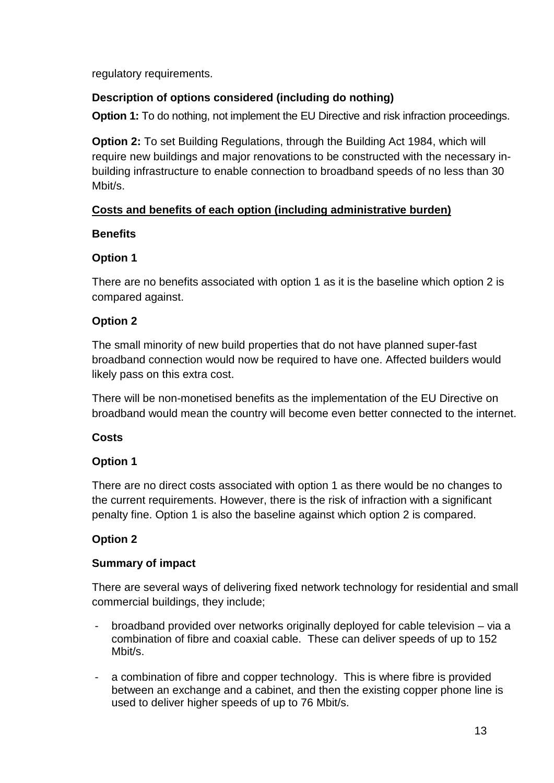regulatory requirements.

# **Description of options considered (including do nothing)**

**Option 1:** To do nothing, not implement the EU Directive and risk infraction proceedings.

**Option 2:** To set Building Regulations, through the Building Act 1984, which will require new buildings and major renovations to be constructed with the necessary inbuilding infrastructure to enable connection to broadband speeds of no less than 30 Mbit/s.

# **Costs and benefits of each option (including administrative burden)**

# **Benefits**

# **Option 1**

There are no benefits associated with option 1 as it is the baseline which option 2 is compared against.

# **Option 2**

The small minority of new build properties that do not have planned super-fast broadband connection would now be required to have one. Affected builders would likely pass on this extra cost.

There will be non-monetised benefits as the implementation of the EU Directive on broadband would mean the country will become even better connected to the internet.

# **Costs**

# **Option 1**

There are no direct costs associated with option 1 as there would be no changes to the current requirements. However, there is the risk of infraction with a significant penalty fine. Option 1 is also the baseline against which option 2 is compared.

# **Option 2**

# **Summary of impact**

There are several ways of delivering fixed network technology for residential and small commercial buildings, they include;

- broadband provided over networks originally deployed for cable television via a combination of fibre and coaxial cable. These can deliver speeds of up to 152 Mbit/s.
- a combination of fibre and copper technology. This is where fibre is provided between an exchange and a cabinet, and then the existing copper phone line is used to deliver higher speeds of up to 76 Mbit/s.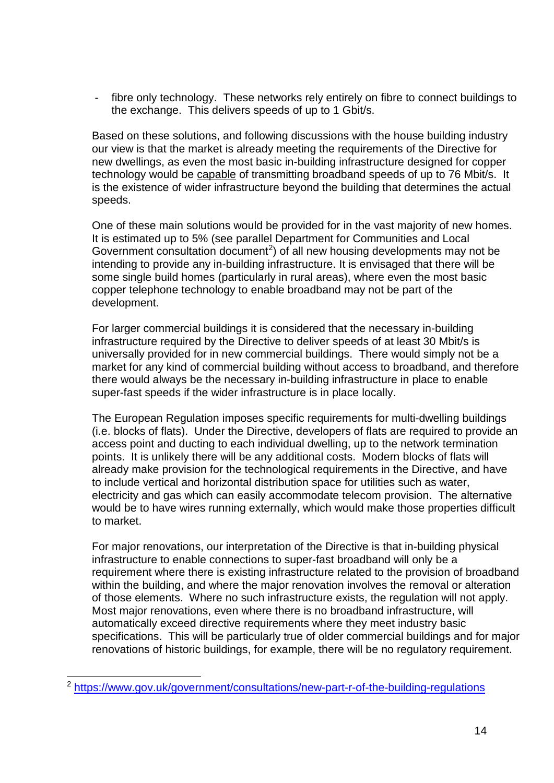- fibre only technology. These networks rely entirely on fibre to connect buildings to the exchange. This delivers speeds of up to 1 Gbit/s.

Based on these solutions, and following discussions with the house building industry our view is that the market is already meeting the requirements of the Directive for new dwellings, as even the most basic in-building infrastructure designed for copper technology would be capable of transmitting broadband speeds of up to 76 Mbit/s. It is the existence of wider infrastructure beyond the building that determines the actual speeds.

One of these main solutions would be provided for in the vast majority of new homes. It is estimated up to 5% (see parallel Department for Communities and Local Government consultation document<sup>[2](#page-13-0)</sup>) of all new housing developments may not be intending to provide any in-building infrastructure. It is envisaged that there will be some single build homes (particularly in rural areas), where even the most basic copper telephone technology to enable broadband may not be part of the development.

For larger commercial buildings it is considered that the necessary in-building infrastructure required by the Directive to deliver speeds of at least 30 Mbit/s is universally provided for in new commercial buildings. There would simply not be a market for any kind of commercial building without access to broadband, and therefore there would always be the necessary in-building infrastructure in place to enable super-fast speeds if the wider infrastructure is in place locally.

The European Regulation imposes specific requirements for multi-dwelling buildings (i.e. blocks of flats). Under the Directive, developers of flats are required to provide an access point and ducting to each individual dwelling, up to the network termination points. It is unlikely there will be any additional costs. Modern blocks of flats will already make provision for the technological requirements in the Directive, and have to include vertical and horizontal distribution space for utilities such as water, electricity and gas which can easily accommodate telecom provision. The alternative would be to have wires running externally, which would make those properties difficult to market.

For major renovations, our interpretation of the Directive is that in-building physical infrastructure to enable connections to super-fast broadband will only be a requirement where there is existing infrastructure related to the provision of broadband within the building, and where the major renovation involves the removal or alteration of those elements. Where no such infrastructure exists, the regulation will not apply. Most major renovations, even where there is no broadband infrastructure, will automatically exceed directive requirements where they meet industry basic specifications. This will be particularly true of older commercial buildings and for major renovations of historic buildings, for example, there will be no regulatory requirement.

<span id="page-13-0"></span><sup>&</sup>lt;sup>2</sup> <https://www.gov.uk/government/consultations/new-part-r-of-the-building-regulations>  $\overline{a}$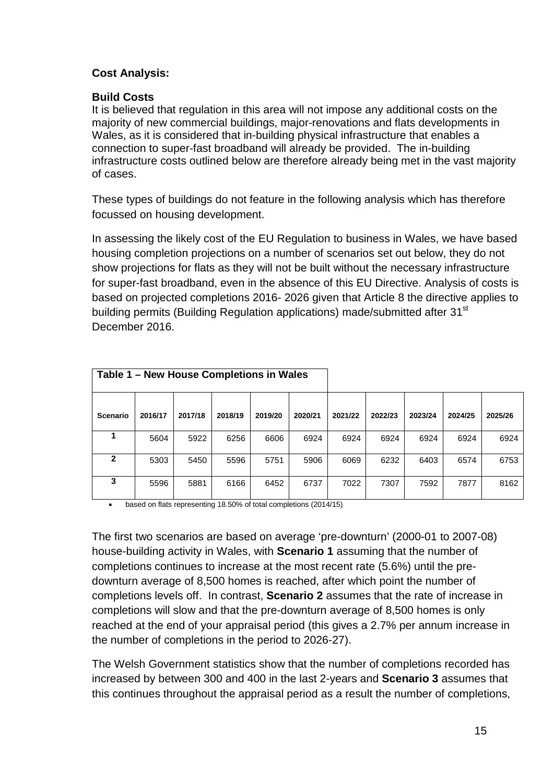#### **Cost Analysis:**

#### **Build Costs**

It is believed that regulation in this area will not impose any additional costs on the majority of new commercial buildings, major-renovations and flats developments in Wales, as it is considered that in-building physical infrastructure that enables a connection to super-fast broadband will already be provided. The in-building infrastructure costs outlined below are therefore already being met in the vast majority of cases.

These types of buildings do not feature in the following analysis which has therefore focussed on housing development.

In assessing the likely cost of the EU Regulation to business in Wales, we have based housing completion projections on a number of scenarios set out below, they do not show projections for flats as they will not be built without the necessary infrastructure for super-fast broadband, even in the absence of this EU Directive. Analysis of costs is based on projected completions 2016- 2026 given that Article 8 the directive applies to building permits (Building Regulation applications) made/submitted after 31<sup>st</sup> December 2016.

| Table 1 – New House Completions in Wales |         |         |         |         |         |         |         |         |         |         |
|------------------------------------------|---------|---------|---------|---------|---------|---------|---------|---------|---------|---------|
| <b>Scenario</b>                          | 2016/17 | 2017/18 | 2018/19 | 2019/20 | 2020/21 | 2021/22 | 2022/23 | 2023/24 | 2024/25 | 2025/26 |
|                                          | 5604    | 5922    | 6256    | 6606    | 6924    | 6924    | 6924    | 6924    | 6924    | 6924    |
| $\mathbf{2}$                             | 5303    | 5450    | 5596    | 5751    | 5906    | 6069    | 6232    | 6403    | 6574    | 6753    |
| 3                                        | 5596    | 5881    | 6166    | 6452    | 6737    | 7022    | 7307    | 7592    | 7877    | 8162    |

• based on flats representing 18.50% of total completions (2014/15)

The first two scenarios are based on average 'pre-downturn' (2000-01 to 2007-08) house-building activity in Wales, with **Scenario 1** assuming that the number of completions continues to increase at the most recent rate (5.6%) until the predownturn average of 8,500 homes is reached, after which point the number of completions levels off. In contrast, **Scenario 2** assumes that the rate of increase in completions will slow and that the pre-downturn average of 8,500 homes is only reached at the end of your appraisal period (this gives a 2.7% per annum increase in the number of completions in the period to 2026-27).

The Welsh Government statistics show that the number of completions recorded has increased by between 300 and 400 in the last 2-years and **Scenario 3** assumes that this continues throughout the appraisal period as a result the number of completions,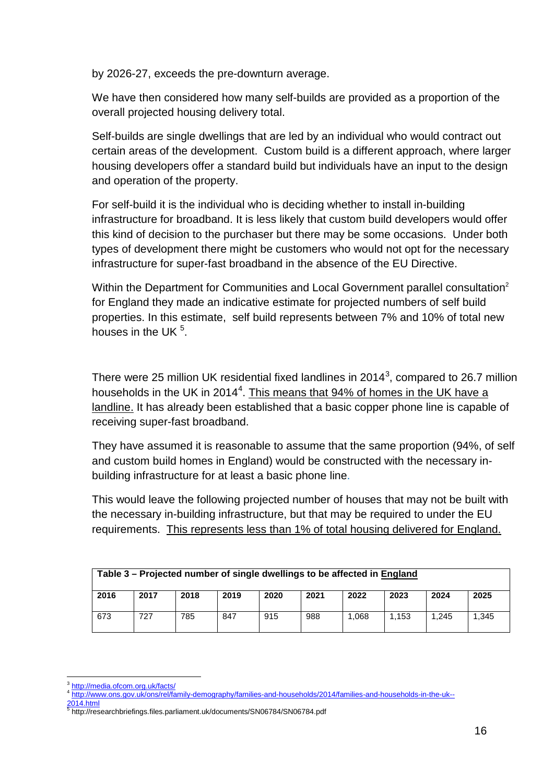by 2026-27, exceeds the pre-downturn average.

We have then considered how many self-builds are provided as a proportion of the overall projected housing delivery total.

Self-builds are single dwellings that are led by an individual who would contract out certain areas of the development. Custom build is a different approach, where larger housing developers offer a standard build but individuals have an input to the design and operation of the property.

For self-build it is the individual who is deciding whether to install in-building infrastructure for broadband. It is less likely that custom build developers would offer this kind of decision to the purchaser but there may be some occasions. Under both types of development there might be customers who would not opt for the necessary infrastructure for super-fast broadband in the absence of the EU Directive.

Within the Department for Communities and Local Government parallel consultation<sup>2</sup> for England they made an indicative estimate for projected numbers of self build properties. In this estimate, self build represents between 7% and 10% of total new houses in the UK  $5$ .

There were 25 million UK residential fixed landlines in 2014<sup>[3](#page-15-0)</sup>, compared to 26.7 million households in the UK in 201[4](#page-15-1)<sup>4</sup>. This means that 94% of homes in the UK have a landline. It has already been established that a basic copper phone line is capable of receiving super-fast broadband.

They have assumed it is reasonable to assume that the same proportion (94%, of self and custom build homes in England) would be constructed with the necessary inbuilding infrastructure for at least a basic phone line.

This would leave the following projected number of houses that may not be built with the necessary in-building infrastructure, but that may be required to under the EU requirements. This represents less than 1% of total housing delivered for England.

| Table 3 – Projected number of single dwellings to be affected in England |      |      |      |      |      |       |       |       |       |
|--------------------------------------------------------------------------|------|------|------|------|------|-------|-------|-------|-------|
| 2016                                                                     | 2017 | 2018 | 2019 | 2020 | 2021 | 2022  | 2023  | 2024  | 2025  |
| 673                                                                      | 727  | 785  | 847  | 915  | 988  | 1.068 | 1.153 | 1,245 | 1.345 |

<http://media.ofcom.org.uk/facts/>  $\overline{a}$ 

<sup>4</sup> [http://www.ons.gov.uk/ons/rel/family-demography/families-and-households/2014/families-and-households-in-the-uk--](http://www.ons.gov.uk/ons/rel/family-demography/families-and-households/2014/families-and-households-in-the-uk--2014.html)

<span id="page-15-1"></span><span id="page-15-0"></span>[<sup>2014.</sup>html](http://www.ons.gov.uk/ons/rel/family-demography/families-and-households/2014/families-and-households-in-the-uk--2014.html) 5 http://researchbriefings.files.parliament.uk/documents/SN06784/SN06784.pdf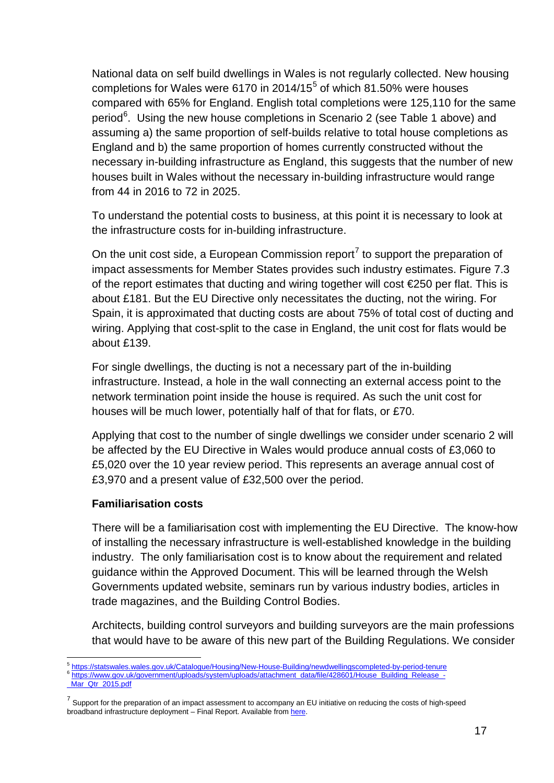National data on self build dwellings in Wales is not regularly collected. New housing completions for Wales were 6170 in 2014/1[5](#page-16-0) $<sup>5</sup>$  of which 81.50% were houses</sup> compared with 65% for England. English total completions were 125,110 for the same period<sup>[6](#page-16-1)</sup>. Using the new house completions in Scenario 2 (see Table 1 above) and assuming a) the same proportion of self-builds relative to total house completions as England and b) the same proportion of homes currently constructed without the necessary in-building infrastructure as England, this suggests that the number of new houses built in Wales without the necessary in-building infrastructure would range from 44 in 2016 to 72 in 2025.

To understand the potential costs to business, at this point it is necessary to look at the infrastructure costs for in-building infrastructure.

On the unit cost side, a European Commission report<sup>[7](#page-16-2)</sup> to support the preparation of impact assessments for Member States provides such industry estimates. Figure 7.3 of the report estimates that ducting and wiring together will cost €250 per flat. This is about £181. But the EU Directive only necessitates the ducting, not the wiring. For Spain, it is approximated that ducting costs are about 75% of total cost of ducting and wiring. Applying that cost-split to the case in England, the unit cost for flats would be about £139.

For single dwellings, the ducting is not a necessary part of the in-building infrastructure. Instead, a hole in the wall connecting an external access point to the network termination point inside the house is required. As such the unit cost for houses will be much lower, potentially half of that for flats, or £70.

Applying that cost to the number of single dwellings we consider under scenario 2 will be affected by the EU Directive in Wales would produce annual costs of £3,060 to £5,020 over the 10 year review period. This represents an average annual cost of £3,970 and a present value of £32,500 over the period.

#### **Familiarisation costs**

There will be a familiarisation cost with implementing the EU Directive. The know-how of installing the necessary infrastructure is well-established knowledge in the building industry. The only familiarisation cost is to know about the requirement and related guidance within the Approved Document. This will be learned through the Welsh Governments updated website, seminars run by various industry bodies, articles in trade magazines, and the Building Control Bodies.

Architects, building control surveyors and building surveyors are the main professions that would have to be aware of this new part of the Building Regulations. We consider

<span id="page-16-0"></span><sup>5</sup> <https://statswales.wales.gov.uk/Catalogue/Housing/New-House-Building/newdwellingscompleted-by-period-tenure> 6 [https://www.gov.uk/government/uploads/system/uploads/attachment\\_data/file/428601/House\\_Building\\_Release\\_-](https://www.gov.uk/government/uploads/system/uploads/attachment_data/file/428601/House_Building_Release_-_Mar_Qtr_2015.pdf)  $\overline{a}$ 

<span id="page-16-1"></span>Mar\_Qtr\_2015.pdf

<span id="page-16-2"></span> $7$  Support for the preparation of an impact assessment to accompany an EU initiative on reducing the costs of high-speed broadband infrastructure deployment – Final Report. Available fro[m here.](https://ec.europa.eu/digital-agenda/en/news/support-preparation-impact-assessment-accompany-eu-initiative-reducing-costs-high-speed)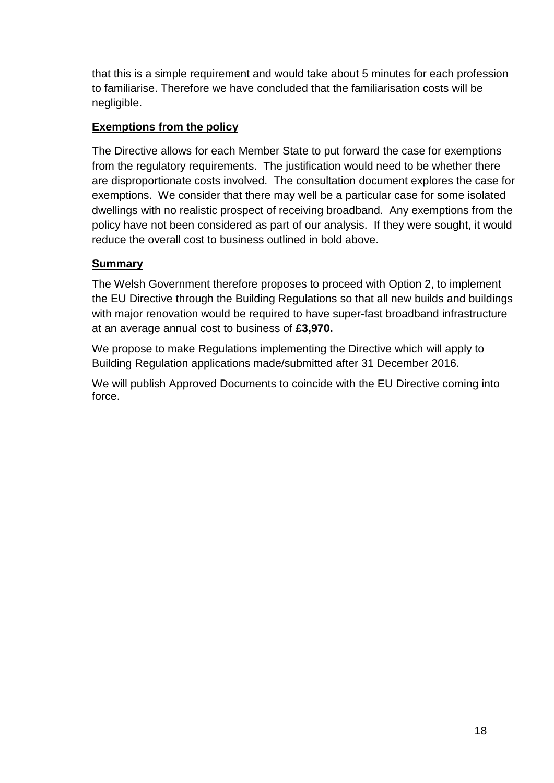that this is a simple requirement and would take about 5 minutes for each profession to familiarise. Therefore we have concluded that the familiarisation costs will be negligible.

### **Exemptions from the policy**

The Directive allows for each Member State to put forward the case for exemptions from the regulatory requirements. The justification would need to be whether there are disproportionate costs involved. The consultation document explores the case for exemptions. We consider that there may well be a particular case for some isolated dwellings with no realistic prospect of receiving broadband. Any exemptions from the policy have not been considered as part of our analysis. If they were sought, it would reduce the overall cost to business outlined in bold above.

# **Summary**

The Welsh Government therefore proposes to proceed with Option 2, to implement the EU Directive through the Building Regulations so that all new builds and buildings with major renovation would be required to have super-fast broadband infrastructure at an average annual cost to business of **£3,970.**

We propose to make Regulations implementing the Directive which will apply to Building Regulation applications made/submitted after 31 December 2016.

We will publish Approved Documents to coincide with the EU Directive coming into force.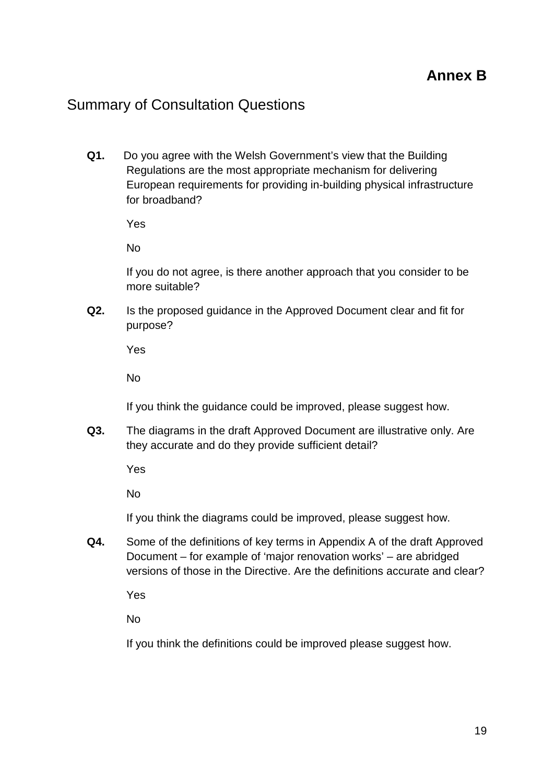# Summary of Consultation Questions

**Q1.** Do you agree with the Welsh Government's view that the Building Regulations are the most appropriate mechanism for delivering European requirements for providing in-building physical infrastructure for broadband?

Yes

No

If you do not agree, is there another approach that you consider to be more suitable?

**Q2.** Is the proposed guidance in the Approved Document clear and fit for purpose?

Yes

No

If you think the guidance could be improved, please suggest how.

**Q3.** The diagrams in the draft Approved Document are illustrative only. Are they accurate and do they provide sufficient detail?

Yes

No

If you think the diagrams could be improved, please suggest how.

**Q4.** Some of the definitions of key terms in Appendix A of the draft Approved Document – for example of 'major renovation works' – are abridged versions of those in the Directive. Are the definitions accurate and clear?

Yes

No

If you think the definitions could be improved please suggest how.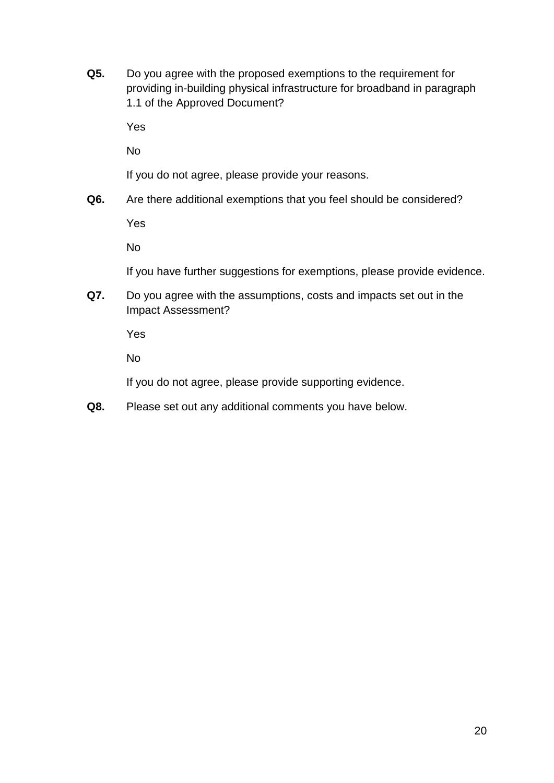**Q5.** Do you agree with the proposed exemptions to the requirement for providing in-building physical infrastructure for broadband in paragraph 1.1 of the Approved Document?

Yes

No

If you do not agree, please provide your reasons.

**Q6.** Are there additional exemptions that you feel should be considered?

Yes

No

If you have further suggestions for exemptions, please provide evidence.

**Q7.** Do you agree with the assumptions, costs and impacts set out in the Impact Assessment?

Yes

No

If you do not agree, please provide supporting evidence.

**Q8.** Please set out any additional comments you have below.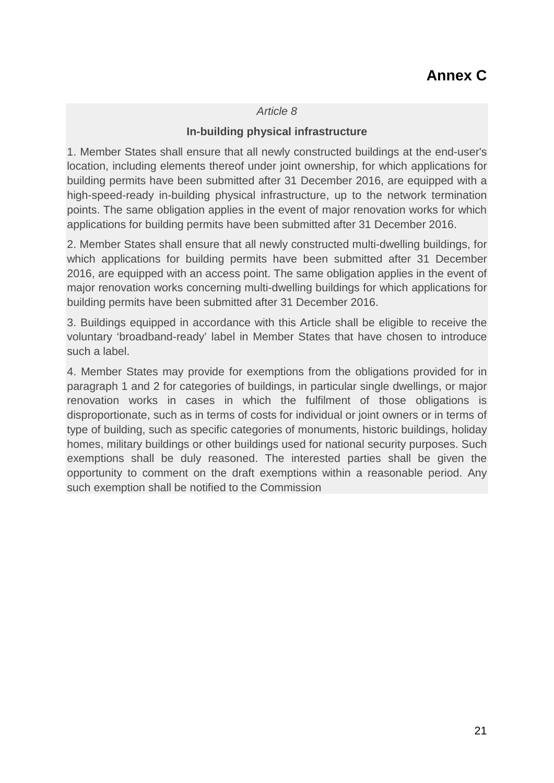#### *Article 8*

#### **In-building physical infrastructure**

1. Member States shall ensure that all newly constructed buildings at the end-user's location, including elements thereof under joint ownership, for which applications for building permits have been submitted after 31 December 2016, are equipped with a high-speed-ready in-building physical infrastructure, up to the network termination points. The same obligation applies in the event of major renovation works for which applications for building permits have been submitted after 31 December 2016.

2. Member States shall ensure that all newly constructed multi-dwelling buildings, for which applications for building permits have been submitted after 31 December 2016, are equipped with an access point. The same obligation applies in the event of major renovation works concerning multi-dwelling buildings for which applications for building permits have been submitted after 31 December 2016.

3. Buildings equipped in accordance with this Article shall be eligible to receive the voluntary 'broadband-ready' label in Member States that have chosen to introduce such a label.

4. Member States may provide for exemptions from the obligations provided for in paragraph 1 and 2 for categories of buildings, in particular single dwellings, or major renovation works in cases in which the fulfilment of those obligations is disproportionate, such as in terms of costs for individual or joint owners or in terms of type of building, such as specific categories of monuments, historic buildings, holiday homes, military buildings or other buildings used for national security purposes. Such exemptions shall be duly reasoned. The interested parties shall be given the opportunity to comment on the draft exemptions within a reasonable period. Any such exemption shall be notified to the Commission